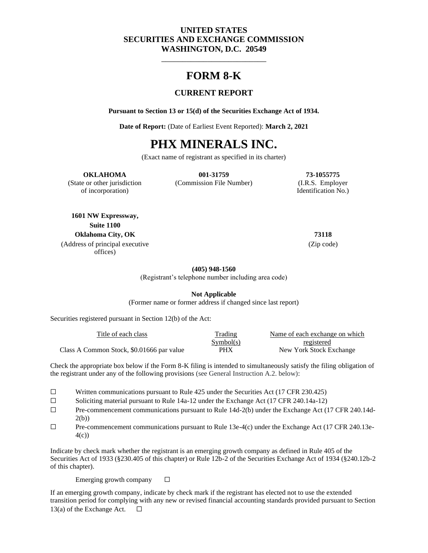## **UNITED STATES SECURITIES AND EXCHANGE COMMISSION WASHINGTON, D.C. 20549**

## **FORM 8-K**

\_\_\_\_\_\_\_\_\_\_\_\_\_\_\_\_\_\_\_\_\_\_\_\_\_

## **CURRENT REPORT**

**Pursuant to Section 13 or 15(d) of the Securities Exchange Act of 1934.**

**Date of Report:** (Date of Earliest Event Reported): **March 2, 2021**

# **PHX MINERALS INC.**

(Exact name of registrant as specified in its charter)

#### **OKLAHOMA 001-31759 73-1055775**

of incorporation) Identification No.)

(State or other jurisdiction (Commission File Number) (I.R.S. Employer

**1601 NW Expressway, Suite 1100 Oklahoma City, OK 73118** (Address of principal executive offices)

(Zip code)

**(405) 948-1560**

(Registrant's telephone number including area code)

**Not Applicable**

(Former name or former address if changed since last report)

Securities registered pursuant in Section 12(b) of the Act:

| Title of each class                       | <b>Trading</b> | Name of each exchange on which |
|-------------------------------------------|----------------|--------------------------------|
|                                           | Symbol(s)      | registered                     |
| Class A Common Stock, \$0.01666 par value | <b>PHX</b>     | New York Stock Exchange        |

Check the appropriate box below if the Form 8-K filing is intended to simultaneously satisfy the filing obligation of the registrant under any of the following provisions (see General Instruction A.2. below):

- ☐ Written communications pursuant to Rule 425 under the Securities Act (17 CFR 230.425)
- ☐ Soliciting material pursuant to Rule 14a-12 under the Exchange Act (17 CFR 240.14a-12)
- ☐ Pre-commencement communications pursuant to Rule 14d-2(b) under the Exchange Act (17 CFR 240.14d-2(b))
- $\Box$  Pre-commencement communications pursuant to Rule 13e-4(c) under the Exchange Act (17 CFR 240.13e-4(c))

Indicate by check mark whether the registrant is an emerging growth company as defined in Rule 405 of the Securities Act of 1933 (§230.405 of this chapter) or Rule 12b-2 of the Securities Exchange Act of 1934 (§240.12b-2 of this chapter).

Emerging growth company  $\Box$ 

If an emerging growth company, indicate by check mark if the registrant has elected not to use the extended transition period for complying with any new or revised financial accounting standards provided pursuant to Section 13(a) of the Exchange Act.  $\Box$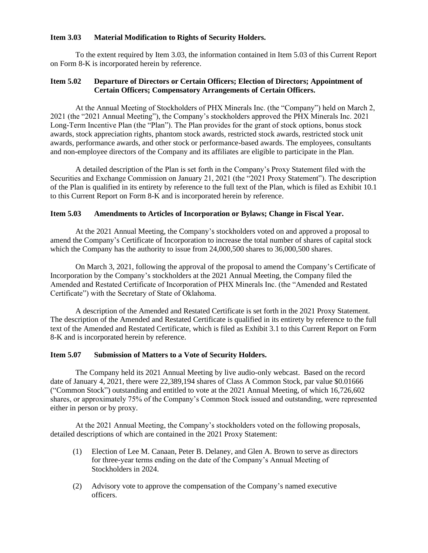#### **Item 3.03 Material Modification to Rights of Security Holders.**

To the extent required by Item 3.03, the information contained in Item 5.03 of this Current Report on Form 8-K is incorporated herein by reference.

## **Item 5.02 Departure of Directors or Certain Officers; Election of Directors; Appointment of Certain Officers; Compensatory Arrangements of Certain Officers.**

At the Annual Meeting of Stockholders of PHX Minerals Inc. (the "Company") held on March 2, 2021 (the "2021 Annual Meeting"), the Company's stockholders approved the PHX Minerals Inc. 2021 Long-Term Incentive Plan (the "Plan"). The Plan provides for the grant of stock options, bonus stock awards, stock appreciation rights, phantom stock awards, restricted stock awards, restricted stock unit awards, performance awards, and other stock or performance-based awards. The employees, consultants and non-employee directors of the Company and its affiliates are eligible to participate in the Plan.

A detailed description of the Plan is set forth in the Company's Proxy Statement filed with the Securities and Exchange Commission on January 21, 2021 (the "2021 Proxy Statement"). The description of the Plan is qualified in its entirety by reference to the full text of the Plan, which is filed as Exhibit 10.1 to this Current Report on Form 8-K and is incorporated herein by reference.

## **Item 5.03 Amendments to Articles of Incorporation or Bylaws; Change in Fiscal Year.**

At the 2021 Annual Meeting, the Company's stockholders voted on and approved a proposal to amend the Company's Certificate of Incorporation to increase the total number of shares of capital stock which the Company has the authority to issue from 24,000,500 shares to 36,000,500 shares.

On March 3, 2021, following the approval of the proposal to amend the Company's Certificate of Incorporation by the Company's stockholders at the 2021 Annual Meeting, the Company filed the Amended and Restated Certificate of Incorporation of PHX Minerals Inc. (the "Amended and Restated Certificate") with the Secretary of State of Oklahoma.

A description of the Amended and Restated Certificate is set forth in the 2021 Proxy Statement. The description of the Amended and Restated Certificate is qualified in its entirety by reference to the full text of the Amended and Restated Certificate, which is filed as Exhibit 3.1 to this Current Report on Form 8-K and is incorporated herein by reference.

#### **Item 5.07 Submission of Matters to a Vote of Security Holders.**

The Company held its 2021 Annual Meeting by live audio-only webcast. Based on the record date of January 4, 2021, there were 22,389,194 shares of Class A Common Stock, par value \$0.01666 ("Common Stock") outstanding and entitled to vote at the 2021 Annual Meeting, of which 16,726,602 shares, or approximately 75% of the Company's Common Stock issued and outstanding, were represented either in person or by proxy.

At the 2021 Annual Meeting, the Company's stockholders voted on the following proposals, detailed descriptions of which are contained in the 2021 Proxy Statement:

- (1) Election of Lee M. Canaan, Peter B. Delaney, and Glen A. Brown to serve as directors for three-year terms ending on the date of the Company's Annual Meeting of Stockholders in 2024.
- (2) Advisory vote to approve the compensation of the Company's named executive officers.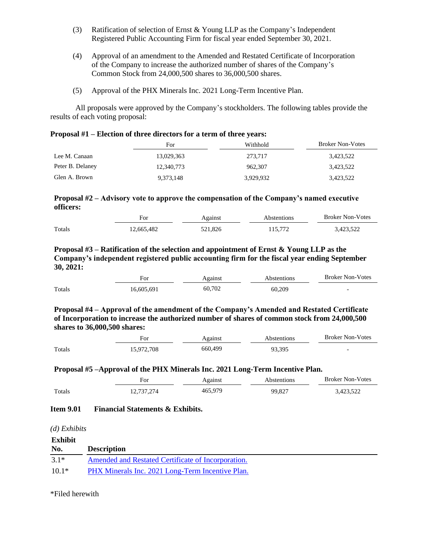- (3) Ratification of selection of Ernst & Young LLP as the Company's Independent Registered Public Accounting Firm for fiscal year ended September 30, 2021.
- (4) Approval of an amendment to the Amended and Restated Certificate of Incorporation of the Company to increase the authorized number of shares of the Company's Common Stock from 24,000,500 shares to 36,000,500 shares.
- (5) Approval of the PHX Minerals Inc. 2021 Long-Term Incentive Plan.

All proposals were approved by the Company's stockholders. The following tables provide the results of each voting proposal:

| Proposal #1 – Election of three directors for a term of three years: |  |  |  |  |  |  |  |
|----------------------------------------------------------------------|--|--|--|--|--|--|--|
|----------------------------------------------------------------------|--|--|--|--|--|--|--|

|                  | For        | Withhold  | <b>Broker Non-Votes</b> |
|------------------|------------|-----------|-------------------------|
| Lee M. Canaan    | 13,029,363 | 273.717   | 3,423,522               |
| Peter B. Delaney | 12,340,773 | 962,307   | 3,423,522               |
| Glen A. Brown    | 9.373.148  | 3.929.932 | 3,423,522               |

## **Proposal #2 – Advisory vote to approve the compensation of the Company's named executive officers:**

|        | For        | Against | Abstentions | <b>Broker Non-Votes</b> |
|--------|------------|---------|-------------|-------------------------|
| Totals | 12.665.482 | 521.826 | 115.772     | 3.423.522               |

## **Proposal #3 – Ratification of the selection and appointment of Ernst & Young LLP as the Company's independent registered public accounting firm for the fiscal year ending September 30, 2021:**

|        | For        | Against | <b>Abstentions</b> | <b>Broker Non-Votes</b> |
|--------|------------|---------|--------------------|-------------------------|
| Totals | 16,605,691 | 60.702  | 60.209             | -                       |

**Proposal #4 – Approval of the amendment of the Company's Amended and Restated Certificate of Incorporation to increase the authorized number of shares of common stock from 24,000,500 shares to 36,000,500 shares:**

|        | ₹Or        | Against | Abstentions | <b>Broker Non-Votes</b>  |
|--------|------------|---------|-------------|--------------------------|
| Totals | 15.972.708 | 660.499 | 93,395      | $\overline{\phantom{0}}$ |

#### **Proposal #5 –Approval of the PHX Minerals Inc. 2021 Long-Term Incentive Plan.**

|        | For        | Against | Abstentions | <b>Broker Non-Votes</b> |
|--------|------------|---------|-------------|-------------------------|
| Totals | 12,737,274 | 465,979 | 99.827      | 3.423.522               |

## **Item 9.01 Financial Statements & Exhibits.**

*(d) Exhibits*

| <b>Exhibit</b> |                                                    |
|----------------|----------------------------------------------------|
| No.            | <b>Description</b>                                 |
| $3.1*$         | Amended and Restated Certificate of Incorporation. |
| $10.1*$        | PHX Minerals Inc. 2021 Long-Term Incentive Plan.   |

\*Filed herewith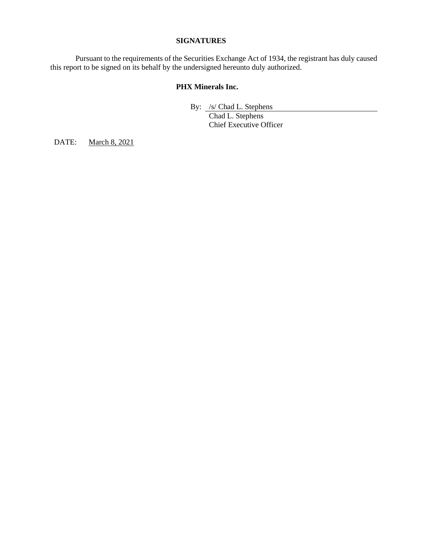## **SIGNATURES**

Pursuant to the requirements of the Securities Exchange Act of 1934, the registrant has duly caused this report to be signed on its behalf by the undersigned hereunto duly authorized.

## **PHX Minerals Inc.**

By: /s/ Chad L. Stephens

Chad L. Stephens Chief Executive Officer

DATE: March 8, 2021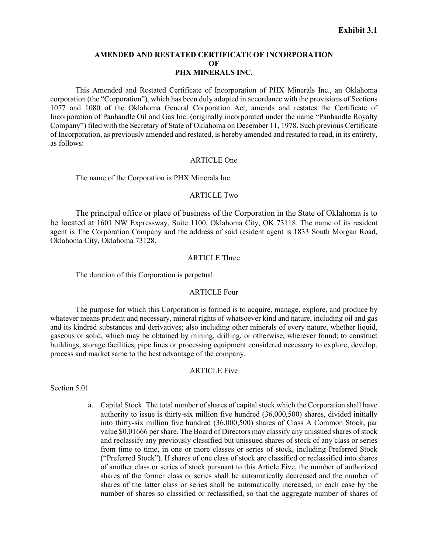#### **AMENDED AND RESTATED CERTIFICATE OF INCORPORATION OF PHX MINERALS INC.**

This Amended and Restated Certificate of Incorporation of PHX Minerals Inc., an Oklahoma corporation (the "Corporation"), which has been duly adopted in accordance with the provisions of Sections 1077 and 1080 of the Oklahoma General Corporation Act, amends and restates the Certificate of Incorporation of Panhandle Oil and Gas Inc. (originally incorporated under the name "Panhandle Royalty Company") filed with the Secretary of State of Oklahoma on December 11, 1978. Such previous Certificate of Incorporation, as previously amended and restated, is hereby amended and restated to read, in its entirety, as follows:

#### ARTICLE One

The name of the Corporation is PHX Minerals Inc.

#### ARTICLE Two

The principal office or place of business of the Corporation in the State of Oklahoma is to be located at 1601 NW Expressway, Suite 1100, Oklahoma City, OK 73118. The name of its resident agent is The Corporation Company and the address of said resident agent is 1833 South Morgan Road, Oklahoma City, Oklahoma 73128.

#### ARTICLE Three

The duration of this Corporation is perpetual.

## ARTICLE Four

The purpose for which this Corporation is formed is to acquire, manage, explore, and produce by whatever means prudent and necessary, mineral rights of whatsoever kind and nature, including oil and gas and its kindred substances and derivatives; also including other minerals of every nature, whether liquid, gaseous or solid, which may be obtained by mining, drilling, or otherwise, wherever found; to construct buildings, storage facilities, pipe lines or processing equipment considered necessary to explore, develop, process and market same to the best advantage of the company.

#### ARTICLE Five

Section 5.01

a. Capital Stock. The total number of shares of capital stock which the Corporation shall have authority to issue is thirty-six million five hundred (36,000,500) shares, divided initially into thirty-six million five hundred (36,000,500) shares of Class A Common Stock, par value \$0.01666 per share. The Board of Directors may classify any unissued shares of stock and reclassify any previously classified but unissued shares of stock of any class or series from time to time, in one or more classes or series of stock, including Preferred Stock ("Preferred Stock"). If shares of one class of stock are classified or reclassified into shares of another class or series of stock pursuant to this Article Five, the number of authorized shares of the former class or series shall be automatically decreased and the number of shares of the latter class or series shall be automatically increased, in each case by the number of shares so classified or reclassified, so that the aggregate number of shares of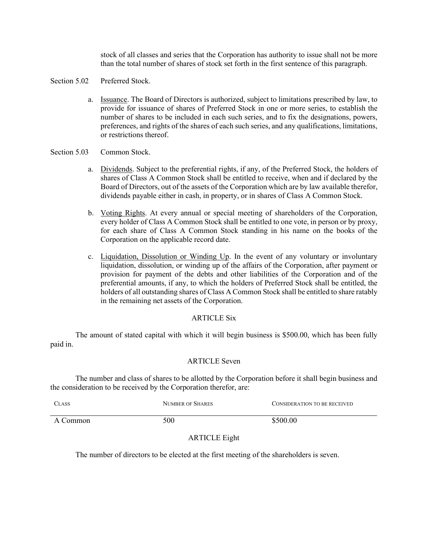stock of all classes and series that the Corporation has authority to issue shall not be more than the total number of shares of stock set forth in the first sentence of this paragraph.

- Section 5.02 Preferred Stock.
	- a. Issuance. The Board of Directors is authorized, subject to limitations prescribed by law, to provide for issuance of shares of Preferred Stock in one or more series, to establish the number of shares to be included in each such series, and to fix the designations, powers, preferences, and rights of the shares of each such series, and any qualifications, limitations, or restrictions thereof.

#### Section 5.03 Common Stock.

- a. Dividends. Subject to the preferential rights, if any, of the Preferred Stock, the holders of shares of Class A Common Stock shall be entitled to receive, when and if declared by the Board of Directors, out of the assets of the Corporation which are by law available therefor, dividends payable either in cash, in property, or in shares of Class A Common Stock.
- b. Voting Rights. At every annual or special meeting of shareholders of the Corporation, every holder of Class A Common Stock shall be entitled to one vote, in person or by proxy, for each share of Class A Common Stock standing in his name on the books of the Corporation on the applicable record date.
- c. Liquidation, Dissolution or Winding Up. In the event of any voluntary or involuntary liquidation, dissolution, or winding up of the affairs of the Corporation, after payment or provision for payment of the debts and other liabilities of the Corporation and of the preferential amounts, if any, to which the holders of Preferred Stock shall be entitled, the holders of all outstanding shares of Class A Common Stock shall be entitled to share ratably in the remaining net assets of the Corporation.

## ARTICLE Six

The amount of stated capital with which it will begin business is \$500.00, which has been fully paid in.

## ARTICLE Seven

The number and class of shares to be allotted by the Corporation before it shall begin business and the consideration to be received by the Corporation therefor, are:

| <b>CLASS</b> | NUMBER OF SHARES | CONSIDERATION TO BE RECEIVED |
|--------------|------------------|------------------------------|
| A Common     | 500              | \$500.00                     |

## ARTICLE Eight

The number of directors to be elected at the first meeting of the shareholders is seven.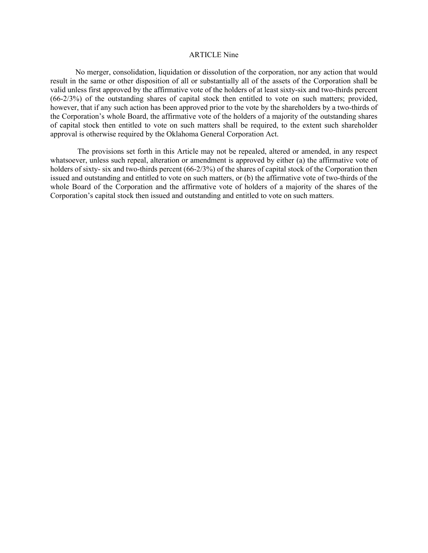#### ARTICLE Nine

No merger, consolidation, liquidation or dissolution of the corporation, nor any action that would result in the same or other disposition of all or substantially all of the assets of the Corporation shall be valid unless first approved by the affirmative vote of the holders of at least sixty-six and two-thirds percent (66-2/3%) of the outstanding shares of capital stock then entitled to vote on such matters; provided, however, that if any such action has been approved prior to the vote by the shareholders by a two-thirds of the Corporation's whole Board, the affirmative vote of the holders of a majority of the outstanding shares of capital stock then entitled to vote on such matters shall be required, to the extent such shareholder approval is otherwise required by the Oklahoma General Corporation Act.

The provisions set forth in this Article may not be repealed, altered or amended, in any respect whatsoever, unless such repeal, alteration or amendment is approved by either (a) the affirmative vote of holders of sixty- six and two-thirds percent (66-2/3%) of the shares of capital stock of the Corporation then issued and outstanding and entitled to vote on such matters, or (b) the affirmative vote of two-thirds of the whole Board of the Corporation and the affirmative vote of holders of a majority of the shares of the Corporation's capital stock then issued and outstanding and entitled to vote on such matters.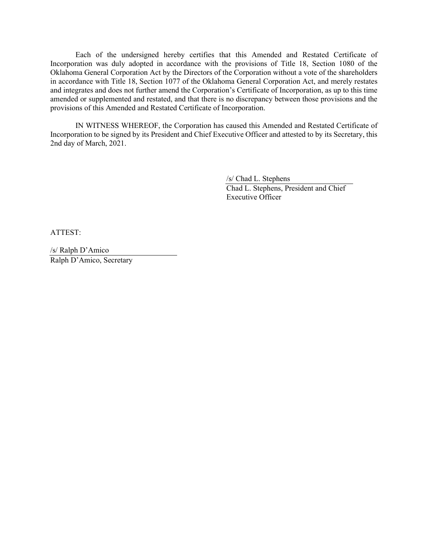Each of the undersigned hereby certifies that this Amended and Restated Certificate of Incorporation was duly adopted in accordance with the provisions of Title 18, Section 1080 of the Oklahoma General Corporation Act by the Directors of the Corporation without a vote of the shareholders in accordance with Title 18, Section 1077 of the Oklahoma General Corporation Act, and merely restates and integrates and does not further amend the Corporation's Certificate of Incorporation, as up to this time amended or supplemented and restated, and that there is no discrepancy between those provisions and the provisions of this Amended and Restated Certificate of Incorporation.

IN WITNESS WHEREOF, the Corporation has caused this Amended and Restated Certificate of Incorporation to be signed by its President and Chief Executive Officer and attested to by its Secretary, this 2nd day of March, 2021.

> /s/ Chad L. Stephens Chad L. Stephens, President and Chief Executive Officer

ATTEST:

/s/ Ralph D'Amico Ralph D'Amico, Secretary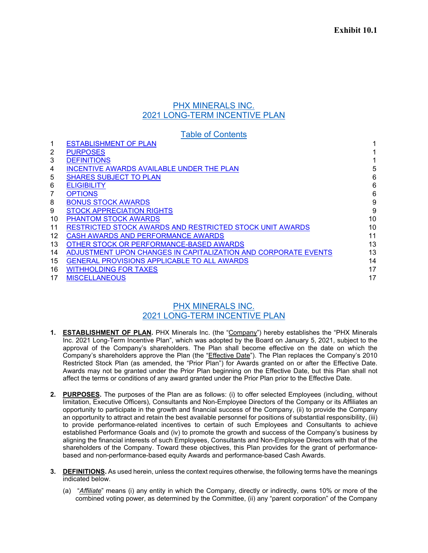## PHX MINERALS INC. 2021 LONG-TERM INCENTIVE PLAN

|    | <b>Table of Contents</b>                                       |    |
|----|----------------------------------------------------------------|----|
|    | <b>ESTABLISHMENT OF PLAN</b>                                   |    |
| 2  | <b>PURPOSES</b>                                                |    |
| 3  | <b>DEFINITIONS</b>                                             |    |
| 4  | <b>INCENTIVE AWARDS AVAILABLE UNDER THE PLAN</b>               | 5  |
| 5  | <b>SHARES SUBJECT TO PLAN</b>                                  | 6  |
| 6  | <b>ELIGIBILITY</b>                                             | 6  |
|    | <b>OPTIONS</b>                                                 | 6  |
| 8  | <b>BONUS STOCK AWARDS</b>                                      | 9  |
| 9  | <b>STOCK APPRECIATION RIGHTS</b>                               | 9  |
| 10 | <b>PHANTOM STOCK AWARDS</b>                                    | 10 |
| 11 | RESTRICTED STOCK AWARDS AND RESTRICTED STOCK UNIT AWARDS       | 10 |
| 12 | CASH AWARDS AND PERFORMANCE AWARDS                             | 11 |
| 13 | OTHER STOCK OR PERFORMANCE-BASED AWARDS                        | 13 |
| 14 | ADJUSTMENT UPON CHANGES IN CAPITALIZATION AND CORPORATE EVENTS | 13 |
| 15 | <b>GENERAL PROVISIONS APPLICABLE TO ALL AWARDS</b>             | 14 |
| 16 | <b>WITHHOLDING FOR TAXES</b>                                   | 17 |
| 17 | <b>MISCELLANEOUS</b>                                           | 17 |

## PHX MINERALS INC. 2021 LONG-TERM INCENTIVE PLAN

- <span id="page-8-0"></span>**1. ESTABLISHMENT OF PLAN.** PHX Minerals Inc. (the "Company") hereby establishes the "PHX Minerals Inc. 2021 Long-Term Incentive Plan", which was adopted by the Board on January 5, 2021, subject to the approval of the Company's shareholders. The Plan shall become effective on the date on which the Company's shareholders approve the Plan (the "Effective Date"). The Plan replaces the Company's 2010 Restricted Stock Plan (as amended, the "Prior Plan") for Awards granted on or after the Effective Date. Awards may not be granted under the Prior Plan beginning on the Effective Date, but this Plan shall not affect the terms or conditions of any award granted under the Prior Plan prior to the Effective Date.
- <span id="page-8-1"></span>**2. PURPOSES.** The purposes of the Plan are as follows: (i) to offer selected Employees (including, without limitation, Executive Officers), Consultants and Non-Employee Directors of the Company or its Affiliates an opportunity to participate in the growth and financial success of the Company, (ii) to provide the Company an opportunity to attract and retain the best available personnel for positions of substantial responsibility, (iii) to provide performance-related incentives to certain of such Employees and Consultants to achieve established Performance Goals and (iv) to promote the growth and success of the Company's business by aligning the financial interests of such Employees, Consultants and Non-Employee Directors with that of the shareholders of the Company. Toward these objectives, this Plan provides for the grant of performancebased and non-performance-based equity Awards and performance-based Cash Awards.
- <span id="page-8-2"></span>**3. DEFINITIONS.** As used herein, unless the context requires otherwise, the following terms have the meanings indicated below.
	- (a) "*Affiliate*" means (i) any entity in which the Company, directly or indirectly, owns 10% or more of the combined voting power, as determined by the Committee, (ii) any "parent corporation" of the Company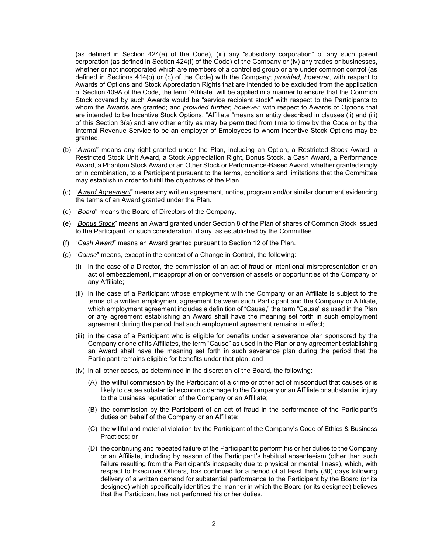(as defined in Section 424(e) of the Code), (iii) any "subsidiary corporation" of any such parent corporation (as defined in Section 424(f) of the Code) of the Company or (iv) any trades or businesses, whether or not incorporated which are members of a controlled group or are under common control (as defined in Sections 414(b) or (c) of the Code) with the Company; *provided, however*, with respect to Awards of Options and Stock Appreciation Rights that are intended to be excluded from the application of Section 409A of the Code, the term "Affiliate" will be applied in a manner to ensure that the Common Stock covered by such Awards would be "service recipient stock" with respect to the Participants to whom the Awards are granted; and *provided further, however*, with respect to Awards of Options that are intended to be Incentive Stock Options, "Affiliate "means an entity described in clauses (ii) and (iii) of this Section 3(a) and any other entity as may be permitted from time to time by the Code or by the Internal Revenue Service to be an employer of Employees to whom Incentive Stock Options may be granted.

- (b) "*Award*" means any right granted under the Plan, including an Option, a Restricted Stock Award, a Restricted Stock Unit Award, a Stock Appreciation Right, Bonus Stock, a Cash Award, a Performance Award, a Phantom Stock Award or an Other Stock or Performance-Based Award, whether granted singly or in combination, to a Participant pursuant to the terms, conditions and limitations that the Committee may establish in order to fulfill the objectives of the Plan.
- (c) "*Award Agreement*" means any written agreement, notice, program and/or similar document evidencing the terms of an Award granted under the Plan.
- (d) "*Board*" means the Board of Directors of the Company.
- (e) "*Bonus Stock*" means an Award granted under Section 8 of the Plan of shares of Common Stock issued to the Participant for such consideration, if any, as established by the Committee.
- (f) "*Cash Award*" means an Award granted pursuant to Section 12 of the Plan.
- (g) "*Cause*" means, except in the context of a Change in Control, the following:
	- (i) in the case of a Director, the commission of an act of fraud or intentional misrepresentation or an act of embezzlement, misappropriation or conversion of assets or opportunities of the Company or any Affiliate;
	- (ii) in the case of a Participant whose employment with the Company or an Affiliate is subject to the terms of a written employment agreement between such Participant and the Company or Affiliate, which employment agreement includes a definition of "Cause," the term "Cause" as used in the Plan or any agreement establishing an Award shall have the meaning set forth in such employment agreement during the period that such employment agreement remains in effect;
	- (iii) in the case of a Participant who is eligible for benefits under a severance plan sponsored by the Company or one of its Affiliates, the term "Cause" as used in the Plan or any agreement establishing an Award shall have the meaning set forth in such severance plan during the period that the Participant remains eligible for benefits under that plan; and
	- (iv) in all other cases, as determined in the discretion of the Board, the following:
		- (A) the willful commission by the Participant of a crime or other act of misconduct that causes or is likely to cause substantial economic damage to the Company or an Affiliate or substantial injury to the business reputation of the Company or an Affiliate;
		- (B) the commission by the Participant of an act of fraud in the performance of the Participant's duties on behalf of the Company or an Affiliate;
		- (C) the willful and material violation by the Participant of the Company's Code of Ethics & Business Practices; or
		- (D) the continuing and repeated failure of the Participant to perform his or her duties to the Company or an Affiliate, including by reason of the Participant's habitual absenteeism (other than such failure resulting from the Participant's incapacity due to physical or mental illness), which, with respect to Executive Officers, has continued for a period of at least thirty (30) days following delivery of a written demand for substantial performance to the Participant by the Board (or its designee) which specifically identifies the manner in which the Board (or its designee) believes that the Participant has not performed his or her duties.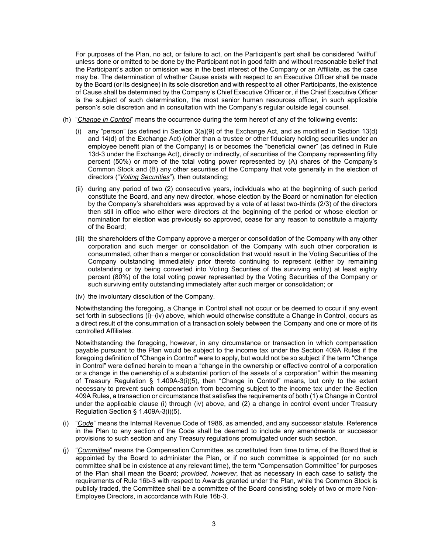For purposes of the Plan, no act, or failure to act, on the Participant's part shall be considered "willful" unless done or omitted to be done by the Participant not in good faith and without reasonable belief that the Participant's action or omission was in the best interest of the Company or an Affiliate, as the case may be. The determination of whether Cause exists with respect to an Executive Officer shall be made by the Board (or its designee) in its sole discretion and with respect to all other Participants, the existence of Cause shall be determined by the Company's Chief Executive Officer or, if the Chief Executive Officer is the subject of such determination, the most senior human resources officer, in such applicable person's sole discretion and in consultation with the Company's regular outside legal counsel.

- (h) "*Change in Control*" means the occurrence during the term hereof of any of the following events:
	- (i) any "person" (as defined in Section 3(a)(9) of the Exchange Act, and as modified in Section 13(d) and 14(d) of the Exchange Act) (other than a trustee or other fiduciary holding securities under an employee benefit plan of the Company) is or becomes the "beneficial owner" (as defined in Rule 13d-3 under the Exchange Act), directly or indirectly, of securities of the Company representing fifty percent (50%) or more of the total voting power represented by (A) shares of the Company's Common Stock and (B) any other securities of the Company that vote generally in the election of directors ("*Voting Securities*"), then outstanding;
	- (ii) during any period of two (2) consecutive years, individuals who at the beginning of such period constitute the Board, and any new director, whose election by the Board or nomination for election by the Company's shareholders was approved by a vote of at least two-thirds (2/3) of the directors then still in office who either were directors at the beginning of the period or whose election or nomination for election was previously so approved, cease for any reason to constitute a majority of the Board;
	- (iii) the shareholders of the Company approve a merger or consolidation of the Company with any other corporation and such merger or consolidation of the Company with such other corporation is consummated, other than a merger or consolidation that would result in the Voting Securities of the Company outstanding immediately prior thereto continuing to represent (either by remaining outstanding or by being converted into Voting Securities of the surviving entity) at least eighty percent (80%) of the total voting power represented by the Voting Securities of the Company or such surviving entity outstanding immediately after such merger or consolidation; or
	- (iv) the involuntary dissolution of the Company.

Notwithstanding the foregoing, a Change in Control shall not occur or be deemed to occur if any event set forth in subsections (i)–(iv) above, which would otherwise constitute a Change in Control, occurs as a direct result of the consummation of a transaction solely between the Company and one or more of its controlled Affiliates.

Notwithstanding the foregoing, however, in any circumstance or transaction in which compensation payable pursuant to the Plan would be subject to the income tax under the Section 409A Rules if the foregoing definition of "Change in Control" were to apply, but would not be so subject if the term "Change in Control" were defined herein to mean a "change in the ownership or effective control of a corporation or a change in the ownership of a substantial portion of the assets of a corporation" within the meaning of Treasury Regulation § 1.409A-3(i)(5), then "Change in Control" means, but only to the extent necessary to prevent such compensation from becoming subject to the income tax under the Section 409A Rules, a transaction or circumstance that satisfies the requirements of both (1) a Change in Control under the applicable clause (i) through (iv) above, and (2) a change in control event under Treasury Regulation Section § 1.409A-3(i)(5).

- (i) "*Code*" means the Internal Revenue Code of 1986, as amended, and any successor statute. Reference in the Plan to any section of the Code shall be deemed to include any amendments or successor provisions to such section and any Treasury regulations promulgated under such section.
- (j) "*Committee*" means the Compensation Committee, as constituted from time to time, of the Board that is appointed by the Board to administer the Plan, or if no such committee is appointed (or no such committee shall be in existence at any relevant time), the term "Compensation Committee" for purposes of the Plan shall mean the Board; *provided, however*, that as necessary in each case to satisfy the requirements of Rule 16b-3 with respect to Awards granted under the Plan, while the Common Stock is publicly traded, the Committee shall be a committee of the Board consisting solely of two or more Non-Employee Directors, in accordance with Rule 16b-3.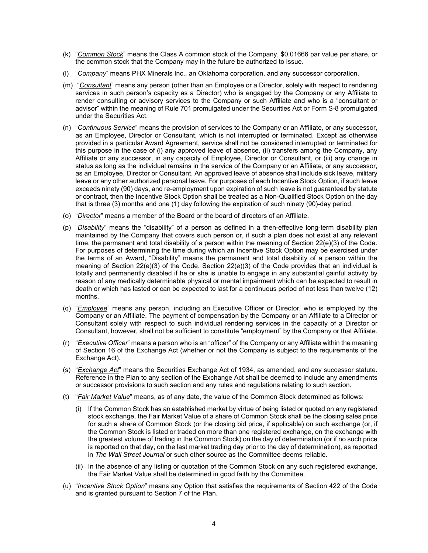- (k) "*Common Stock*" means the Class A common stock of the Company, \$0.01666 par value per share, or the common stock that the Company may in the future be authorized to issue.
- (l) "*Company*" means PHX Minerals Inc., an Oklahoma corporation, and any successor corporation.
- (m) "*Consultant*" means any person (other than an Employee or a Director, solely with respect to rendering services in such person's capacity as a Director) who is engaged by the Company or any Affiliate to render consulting or advisory services to the Company or such Affiliate and who is a "consultant or advisor" within the meaning of Rule 701 promulgated under the Securities Act or Form S-8 promulgated under the Securities Act.
- (n) "*Continuous Service*" means the provision of services to the Company or an Affiliate, or any successor, as an Employee, Director or Consultant, which is not interrupted or terminated. Except as otherwise provided in a particular Award Agreement, service shall not be considered interrupted or terminated for this purpose in the case of (i) any approved leave of absence, (ii) transfers among the Company, any Affiliate or any successor, in any capacity of Employee, Director or Consultant, or (iii) any change in status as long as the individual remains in the service of the Company or an Affiliate, or any successor, as an Employee, Director or Consultant. An approved leave of absence shall include sick leave, military leave or any other authorized personal leave. For purposes of each Incentive Stock Option, if such leave exceeds ninety (90) days, and re-employment upon expiration of such leave is not guaranteed by statute or contract, then the Incentive Stock Option shall be treated as a Non-Qualified Stock Option on the day that is three (3) months and one (1) day following the expiration of such ninety (90)-day period.
- (o) "*Director*" means a member of the Board or the board of directors of an Affiliate.
- (p) "*Disability*" means the "disability" of a person as defined in a then-effective long-term disability plan maintained by the Company that covers such person or, if such a plan does not exist at any relevant time, the permanent and total disability of a person within the meaning of Section 22(e)(3) of the Code. For purposes of determining the time during which an Incentive Stock Option may be exercised under the terms of an Award, "Disability" means the permanent and total disability of a person within the meaning of Section 22(e)(3) of the Code. Section 22(e)(3) of the Code provides that an individual is totally and permanently disabled if he or she is unable to engage in any substantial gainful activity by reason of any medically determinable physical or mental impairment which can be expected to result in death or which has lasted or can be expected to last for a continuous period of not less than twelve (12) months.
- (q) "*Employee*" means any person, including an Executive Officer or Director, who is employed by the Company or an Affiliate. The payment of compensation by the Company or an Affiliate to a Director or Consultant solely with respect to such individual rendering services in the capacity of a Director or Consultant, however, shall not be sufficient to constitute "employment" by the Company or that Affiliate.
- (r) "*Executive Officer*" means a person who is an "officer" of the Company or any Affiliate within the meaning of Section 16 of the Exchange Act (whether or not the Company is subject to the requirements of the Exchange Act).
- (s) "*Exchange Act*" means the Securities Exchange Act of 1934, as amended, and any successor statute. Reference in the Plan to any section of the Exchange Act shall be deemed to include any amendments or successor provisions to such section and any rules and regulations relating to such section.
- (t) "*Fair Market Value*" means, as of any date, the value of the Common Stock determined as follows:
	- (i) If the Common Stock has an established market by virtue of being listed or quoted on any registered stock exchange, the Fair Market Value of a share of Common Stock shall be the closing sales price for such a share of Common Stock (or the closing bid price, if applicable) on such exchange (or, if the Common Stock is listed or traded on more than one registered exchange, on the exchange with the greatest volume of trading in the Common Stock) on the day of determination (or if no such price is reported on that day, on the last market trading day prior to the day of determination), as reported in *The Wall Street Journal* or such other source as the Committee deems reliable.
	- (ii) In the absence of any listing or quotation of the Common Stock on any such registered exchange, the Fair Market Value shall be determined in good faith by the Committee.
- (u) "*Incentive Stock Option*" means any Option that satisfies the requirements of Section 422 of the Code and is granted pursuant to Section 7 of the Plan.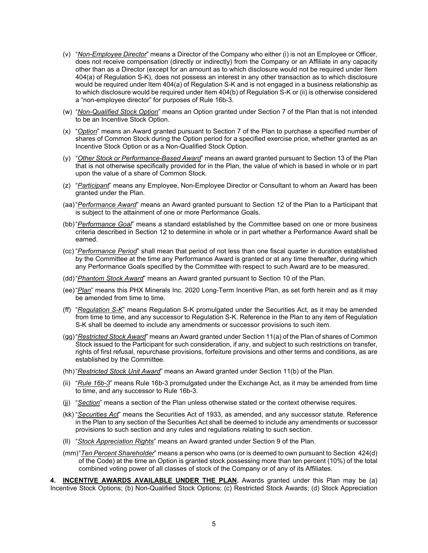- (v) "*Non-Employee Director*" means a Director of the Company who either (i) is not an Employee or Officer, does not receive compensation (directly or indirectly) from the Company or an Affiliate in any capacity other than as a Director (except for an amount as to which disclosure would not be required under Item 404(a) of Regulation S-K), does not possess an interest in any other transaction as to which disclosure would be required under Item 404(a) of Regulation S-K and is not engaged in a business relationship as to which disclosure would be required under Item 404(b) of Regulation S-K or (ii) is otherwise considered a "non-employee director" for purposes of Rule 16b-3.
- (w) "*Non-Qualified Stock Option*" means an Option granted under Section 7 of the Plan that is not intended to be an Incentive Stock Option.
- (x) "*Option*" means an Award granted pursuant to Section 7 of the Plan to purchase a specified number of shares of Common Stock during the Option period for a specified exercise price, whether granted as an Incentive Stock Option or as a Non-Qualified Stock Option.
- (y) "*Other Stock or Performance-Based Award*" means an award granted pursuant to Section 13 of the Plan that is not otherwise specifically provided for in the Plan, the value of which is based in whole or in part upon the value of a share of Common Stock.
- (z) "*Participant*" means any Employee, Non-Employee Director or Consultant to whom an Award has been granted under the Plan.
- (aa)"*Performance Award*" means an Award granted pursuant to Section 12 of the Plan to a Participant that is subject to the attainment of one or more Performance Goals.
- (bb)"*Performance Goal*" means a standard established by the Committee based on one or more business criteria described in Section 12 to determine in whole or in part whether a Performance Award shall be earned.
- (cc) "*Performance Period*" shall mean that period of not less than one fiscal quarter in duration established by the Committee at the time any Performance Award is granted or at any time thereafter, during which any Performance Goals specified by the Committee with respect to such Award are to be measured.
- (dd)"*Phantom Stock Award*" means an Award granted pursuant to Section 10 of the Plan.
- (ee)"*Plan*" means this PHX Minerals Inc. 2020 Long-Term Incentive Plan, as set forth herein and as it may be amended from time to time.
- (ff) "*Regulation S*-*K*" means Regulation S-K promulgated under the Securities Act, as it may be amended from time to time, and any successor to Regulation S-K. Reference in the Plan to any item of Regulation S-K shall be deemed to include any amendments or successor provisions to such item.
- (gg)"*Restricted Stock Award*" means an Award granted under Section 11(a) of the Plan of shares of Common Stock issued to the Participant for such consideration, if any, and subject to such restrictions on transfer, rights of first refusal, repurchase provisions, forfeiture provisions and other terms and conditions, as are established by the Committee.
- (hh)"*Restricted Stock Unit Award*" means an Award granted under Section 11(b) of the Plan.
- (ii) "*Rule 16b-3*" means Rule 16b-3 promulgated under the Exchange Act, as it may be amended from time to time, and any successor to Rule 16b-3.
- (jj) "*Section*" means a section of the Plan unless otherwise stated or the context otherwise requires.
- (kk) "*Securities Act*" means the Securities Act of 1933, as amended, and any successor statute. Reference in the Plan to any section of the Securities Act shall be deemed to include any amendments or successor provisions to such section and any rules and regulations relating to such section.
- (ll) "*Stock Appreciation Rights*" means an Award granted under Section 9 of the Plan.
- (mm)"*Ten Percent Shareholder*" means a person who owns (or is deemed to own pursuant to Section 424(d) of the Code) at the time an Option is granted stock possessing more than ten percent (10%) of the total combined voting power of all classes of stock of the Company or of any of its Affiliates.

<span id="page-12-0"></span>**4. INCENTIVE AWARDS AVAILABLE UNDER THE PLAN.** Awards granted under this Plan may be (a) Incentive Stock Options; (b) Non-Qualified Stock Options; (c) Restricted Stock Awards; (d) Stock Appreciation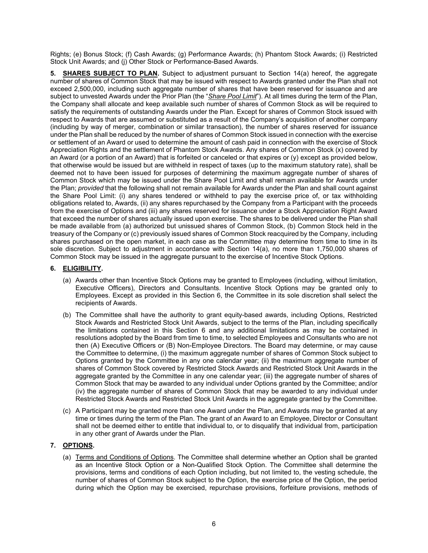Rights; (e) Bonus Stock; (f) Cash Awards; (g) Performance Awards; (h) Phantom Stock Awards; (i) Restricted Stock Unit Awards; and (j) Other Stock or Performance-Based Awards.

<span id="page-13-0"></span>**5. SHARES SUBJECT TO PLAN.** Subject to adjustment pursuant to Section 14(a) hereof, the aggregate number of shares of Common Stock that may be issued with respect to Awards granted under the Plan shall not exceed 2,500,000, including such aggregate number of shares that have been reserved for issuance and are subject to unvested Awards under the Prior Plan (the "*Share Pool Limit*"). At all times during the term of the Plan, the Company shall allocate and keep available such number of shares of Common Stock as will be required to satisfy the requirements of outstanding Awards under the Plan. Except for shares of Common Stock issued with respect to Awards that are assumed or substituted as a result of the Company's acquisition of another company (including by way of merger, combination or similar transaction), the number of shares reserved for issuance under the Plan shall be reduced by the number of shares of Common Stock issued in connection with the exercise or settlement of an Award or used to determine the amount of cash paid in connection with the exercise of Stock Appreciation Rights and the settlement of Phantom Stock Awards. Any shares of Common Stock (x) covered by an Award (or a portion of an Award) that is forfeited or canceled or that expires or (y) except as provided below, that otherwise would be issued but are withheld in respect of taxes (up to the maximum statutory rate), shall be deemed not to have been issued for purposes of determining the maximum aggregate number of shares of Common Stock which may be issued under the Share Pool Limit and shall remain available for Awards under the Plan; *provided* that the following shall not remain available for Awards under the Plan and shall count against the Share Pool Limit: (i) any shares tendered or withheld to pay the exercise price of, or tax withholding obligations related to, Awards, (ii) any shares repurchased by the Company from a Participant with the proceeds from the exercise of Options and (iii) any shares reserved for issuance under a Stock Appreciation Right Award that exceed the number of shares actually issued upon exercise. The shares to be delivered under the Plan shall be made available from (a) authorized but unissued shares of Common Stock, (b) Common Stock held in the treasury of the Company or (c) previously issued shares of Common Stock reacquired by the Company, including shares purchased on the open market, in each case as the Committee may determine from time to time in its sole discretion. Subject to adjustment in accordance with Section 14(a), no more than 1,750,000 shares of Common Stock may be issued in the aggregate pursuant to the exercise of Incentive Stock Options.

#### <span id="page-13-1"></span>**6. ELIGIBILITY.**

- (a) Awards other than Incentive Stock Options may be granted to Employees (including, without limitation, Executive Officers), Directors and Consultants. Incentive Stock Options may be granted only to Employees. Except as provided in this Section 6, the Committee in its sole discretion shall select the recipients of Awards.
- (b) The Committee shall have the authority to grant equity-based awards, including Options, Restricted Stock Awards and Restricted Stock Unit Awards, subject to the terms of the Plan, including specifically the limitations contained in this Section 6 and any additional limitations as may be contained in resolutions adopted by the Board from time to time, to selected Employees and Consultants who are not then (A) Executive Officers or (B) Non-Employee Directors. The Board may determine, or may cause the Committee to determine, (i) the maximum aggregate number of shares of Common Stock subject to Options granted by the Committee in any one calendar year; (ii) the maximum aggregate number of shares of Common Stock covered by Restricted Stock Awards and Restricted Stock Unit Awards in the aggregate granted by the Committee in any one calendar year; (iii) the aggregate number of shares of Common Stock that may be awarded to any individual under Options granted by the Committee; and/or (iv) the aggregate number of shares of Common Stock that may be awarded to any individual under Restricted Stock Awards and Restricted Stock Unit Awards in the aggregate granted by the Committee.
- (c) A Participant may be granted more than one Award under the Plan, and Awards may be granted at any time or times during the term of the Plan. The grant of an Award to an Employee, Director or Consultant shall not be deemed either to entitle that individual to, or to disqualify that individual from, participation in any other grant of Awards under the Plan.

## <span id="page-13-2"></span>**7. OPTIONS.**

(a) Terms and Conditions of Options. The Committee shall determine whether an Option shall be granted as an Incentive Stock Option or a Non-Qualified Stock Option. The Committee shall determine the provisions, terms and conditions of each Option including, but not limited to, the vesting schedule, the number of shares of Common Stock subject to the Option, the exercise price of the Option, the period during which the Option may be exercised, repurchase provisions, forfeiture provisions, methods of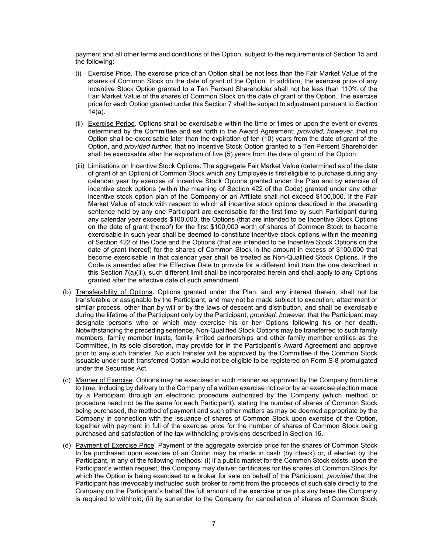payment and all other terms and conditions of the Option, subject to the requirements of Section 15 and the following:

- (i) Exercise Price. The exercise price of an Option shall be not less than the Fair Market Value of the shares of Common Stock on the date of grant of the Option. In addition, the exercise price of any Incentive Stock Option granted to a Ten Percent Shareholder shall not be less than 110% of the Fair Market Value of the shares of Common Stock on the date of grant of the Option. The exercise price for each Option granted under this Section 7 shall be subject to adjustment pursuant to Section 14(a).
- (ii) Exercise Period. Options shall be exercisable within the time or times or upon the event or events determined by the Committee and set forth in the Award Agreement; *provided, however*, that no Option shall be exercisable later than the expiration of ten (10) years from the date of grant of the Option, and *provided further*, that no Incentive Stock Option granted to a Ten Percent Shareholder shall be exercisable after the expiration of five (5) years from the date of grant of the Option.
- (iii) Limitations on Incentive Stock Options. The aggregate Fair Market Value (determined as of the date of grant of an Option) of Common Stock which any Employee is first eligible to purchase during any calendar year by exercise of Incentive Stock Options granted under the Plan and by exercise of incentive stock options (within the meaning of Section 422 of the Code) granted under any other incentive stock option plan of the Company or an Affiliate shall not exceed \$100,000. If the Fair Market Value of stock with respect to which all incentive stock options described in the preceding sentence held by any one Participant are exercisable for the first time by such Participant during any calendar year exceeds \$100,000, the Options (that are intended to be Incentive Stock Options on the date of grant thereof) for the first \$100,000 worth of shares of Common Stock to become exercisable in such year shall be deemed to constitute incentive stock options within the meaning of Section 422 of the Code and the Options (that are intended to be Incentive Stock Options on the date of grant thereof) for the shares of Common Stock in the amount in excess of \$100,000 that become exercisable in that calendar year shall be treated as Non-Qualified Stock Options. If the Code is amended after the Effective Date to provide for a different limit than the one described in this Section 7(a)(iii), such different limit shall be incorporated herein and shall apply to any Options granted after the effective date of such amendment.
- (b) Transferability of Options. Options granted under the Plan, and any interest therein, shall not be transferable or assignable by the Participant, and may not be made subject to execution, attachment or similar process, other than by will or by the laws of descent and distribution, and shall be exercisable during the lifetime of the Participant only by the Participant; *provided, however*, that the Participant may designate persons who or which may exercise his or her Options following his or her death. Notwithstanding the preceding sentence, Non-Qualified Stock Options may be transferred to such family members, family member trusts, family limited partnerships and other family member entities as the Committee, in its sole discretion, may provide for in the Participant's Award Agreement and approve prior to any such transfer. No such transfer will be approved by the Committee if the Common Stock issuable under such transferred Option would not be eligible to be registered on Form S-8 promulgated under the Securities Act.
- (c) Manner of Exercise. Options may be exercised in such manner as approved by the Company from time to time, including by delivery to the Company of a written exercise notice or by an exercise election made by a Participant through an electronic procedure authorized by the Company (which method or procedure need not be the same for each Participant), stating the number of shares of Common Stock being purchased, the method of payment and such other matters as may be deemed appropriate by the Company in connection with the issuance of shares of Common Stock upon exercise of the Option, together with payment in full of the exercise price for the number of shares of Common Stock being purchased and satisfaction of the tax withholding provisions described in Section 16.
- (d) Payment of Exercise Price. Payment of the aggregate exercise price for the shares of Common Stock to be purchased upon exercise of an Option may be made in cash (by check) or, if elected by the Participant, in any of the following methods: (i) if a public market for the Common Stock exists, upon the Participant's written request, the Company may deliver certificates for the shares of Common Stock for which the Option is being exercised to a broker for sale on behalf of the Participant, *provided* that the Participant has irrevocably instructed such broker to remit from the proceeds of such sale directly to the Company on the Participant's behalf the full amount of the exercise price plus any taxes the Company is required to withhold; (ii) by surrender to the Company for cancellation of shares of Common Stock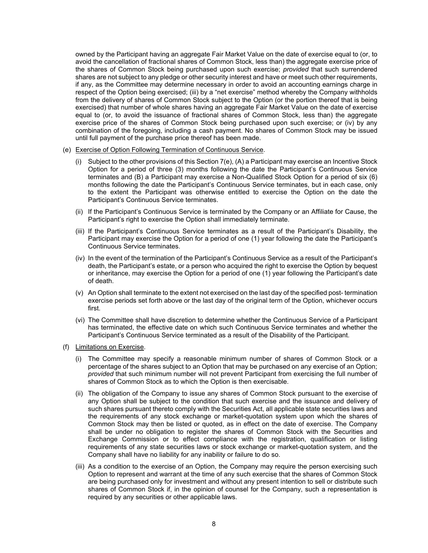owned by the Participant having an aggregate Fair Market Value on the date of exercise equal to (or, to avoid the cancellation of fractional shares of Common Stock, less than) the aggregate exercise price of the shares of Common Stock being purchased upon such exercise; *provided* that such surrendered shares are not subject to any pledge or other security interest and have or meet such other requirements, if any, as the Committee may determine necessary in order to avoid an accounting earnings charge in respect of the Option being exercised; (iii) by a "net exercise" method whereby the Company withholds from the delivery of shares of Common Stock subject to the Option (or the portion thereof that is being exercised) that number of whole shares having an aggregate Fair Market Value on the date of exercise equal to (or, to avoid the issuance of fractional shares of Common Stock, less than) the aggregate exercise price of the shares of Common Stock being purchased upon such exercise; or (iv) by any combination of the foregoing, including a cash payment. No shares of Common Stock may be issued until full payment of the purchase price thereof has been made.

- (e) Exercise of Option Following Termination of Continuous Service.
	- (i) Subject to the other provisions of this Section 7(e), (A) a Participant may exercise an Incentive Stock Option for a period of three (3) months following the date the Participant's Continuous Service terminates and (B) a Participant may exercise a Non-Qualified Stock Option for a period of six (6) months following the date the Participant's Continuous Service terminates, but in each case, only to the extent the Participant was otherwise entitled to exercise the Option on the date the Participant's Continuous Service terminates.
	- (ii) If the Participant's Continuous Service is terminated by the Company or an Affiliate for Cause, the Participant's right to exercise the Option shall immediately terminate.
	- (iii) If the Participant's Continuous Service terminates as a result of the Participant's Disability, the Participant may exercise the Option for a period of one (1) year following the date the Participant's Continuous Service terminates.
	- (iv) In the event of the termination of the Participant's Continuous Service as a result of the Participant's death, the Participant's estate, or a person who acquired the right to exercise the Option by bequest or inheritance, may exercise the Option for a period of one (1) year following the Participant's date of death.
	- (v) An Option shall terminate to the extent not exercised on the last day of the specified post- termination exercise periods set forth above or the last day of the original term of the Option, whichever occurs first.
	- (vi) The Committee shall have discretion to determine whether the Continuous Service of a Participant has terminated, the effective date on which such Continuous Service terminates and whether the Participant's Continuous Service terminated as a result of the Disability of the Participant.
- (f) Limitations on Exercise.
	- (i) The Committee may specify a reasonable minimum number of shares of Common Stock or a percentage of the shares subject to an Option that may be purchased on any exercise of an Option; *provided* that such minimum number will not prevent Participant from exercising the full number of shares of Common Stock as to which the Option is then exercisable.
	- (ii) The obligation of the Company to issue any shares of Common Stock pursuant to the exercise of any Option shall be subject to the condition that such exercise and the issuance and delivery of such shares pursuant thereto comply with the Securities Act, all applicable state securities laws and the requirements of any stock exchange or market-quotation system upon which the shares of Common Stock may then be listed or quoted, as in effect on the date of exercise. The Company shall be under no obligation to register the shares of Common Stock with the Securities and Exchange Commission or to effect compliance with the registration, qualification or listing requirements of any state securities laws or stock exchange or market-quotation system, and the Company shall have no liability for any inability or failure to do so.
	- (iii) As a condition to the exercise of an Option, the Company may require the person exercising such Option to represent and warrant at the time of any such exercise that the shares of Common Stock are being purchased only for investment and without any present intention to sell or distribute such shares of Common Stock if, in the opinion of counsel for the Company, such a representation is required by any securities or other applicable laws.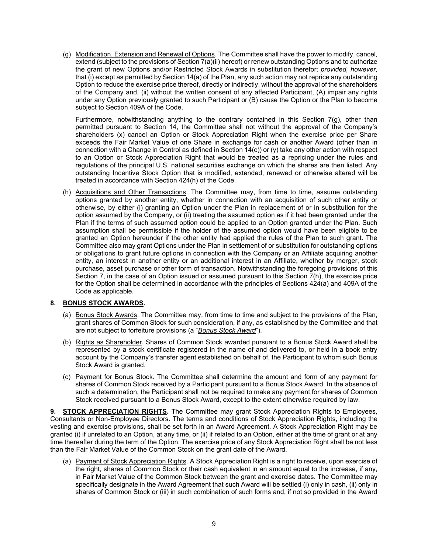(g) Modification, Extension and Renewal of Options. The Committee shall have the power to modify, cancel, extend (subject to the provisions of Section 7(a)(ii) hereof) or renew outstanding Options and to authorize the grant of new Options and/or Restricted Stock Awards in substitution therefor; *provided, however*, that (i) except as permitted by Section 14(a) of the Plan, any such action may not reprice any outstanding Option to reduce the exercise price thereof, directly or indirectly, without the approval of the shareholders of the Company and, (ii) without the written consent of any affected Participant, (A) impair any rights under any Option previously granted to such Participant or (B) cause the Option or the Plan to become subject to Section 409A of the Code.

Furthermore, notwithstanding anything to the contrary contained in this Section  $7(g)$ , other than permitted pursuant to Section 14, the Committee shall not without the approval of the Company's shareholders (x) cancel an Option or Stock Appreciation Right when the exercise price per Share exceeds the Fair Market Value of one Share in exchange for cash or another Award (other than in connection with a Change in Control as defined in Section 14(c)) or (y) take any other action with respect to an Option or Stock Appreciation Right that would be treated as a repricing under the rules and regulations of the principal U.S. national securities exchange on which the shares are then listed. Any outstanding Incentive Stock Option that is modified, extended, renewed or otherwise altered will be treated in accordance with Section 424(h) of the Code.

(h) Acquisitions and Other Transactions. The Committee may, from time to time, assume outstanding options granted by another entity, whether in connection with an acquisition of such other entity or otherwise, by either (i) granting an Option under the Plan in replacement of or in substitution for the option assumed by the Company, or (ii) treating the assumed option as if it had been granted under the Plan if the terms of such assumed option could be applied to an Option granted under the Plan. Such assumption shall be permissible if the holder of the assumed option would have been eligible to be granted an Option hereunder if the other entity had applied the rules of the Plan to such grant. The Committee also may grant Options under the Plan in settlement of or substitution for outstanding options or obligations to grant future options in connection with the Company or an Affiliate acquiring another entity, an interest in another entity or an additional interest in an Affiliate, whether by merger, stock purchase, asset purchase or other form of transaction. Notwithstanding the foregoing provisions of this Section 7, in the case of an Option issued or assumed pursuant to this Section 7(h), the exercise price for the Option shall be determined in accordance with the principles of Sections 424(a) and 409A of the Code as applicable.

## <span id="page-16-0"></span>**8. BONUS STOCK AWARDS.**

- (a) Bonus Stock Awards. The Committee may, from time to time and subject to the provisions of the Plan, grant shares of Common Stock for such consideration, if any, as established by the Committee and that are not subject to forfeiture provisions (a "*Bonus Stock Award*").
- (b) Rights as Shareholder. Shares of Common Stock awarded pursuant to a Bonus Stock Award shall be represented by a stock certificate registered in the name of and delivered to, or held in a book entry account by the Company's transfer agent established on behalf of, the Participant to whom such Bonus Stock Award is granted.
- (c) Payment for Bonus Stock. The Committee shall determine the amount and form of any payment for shares of Common Stock received by a Participant pursuant to a Bonus Stock Award. In the absence of such a determination, the Participant shall not be required to make any payment for shares of Common Stock received pursuant to a Bonus Stock Award, except to the extent otherwise required by law.

<span id="page-16-1"></span>**9. STOCK APPRECIATION RIGHTS.** The Committee may grant Stock Appreciation Rights to Employees, Consultants or Non-Employee Directors. The terms and conditions of Stock Appreciation Rights, including the vesting and exercise provisions, shall be set forth in an Award Agreement. A Stock Appreciation Right may be granted (i) if unrelated to an Option, at any time, or (ii) if related to an Option, either at the time of grant or at any time thereafter during the term of the Option. The exercise price of any Stock Appreciation Right shall be not less than the Fair Market Value of the Common Stock on the grant date of the Award.

(a) Payment of Stock Appreciation Rights. A Stock Appreciation Right is a right to receive, upon exercise of the right, shares of Common Stock or their cash equivalent in an amount equal to the increase, if any, in Fair Market Value of the Common Stock between the grant and exercise dates. The Committee may specifically designate in the Award Agreement that such Award will be settled (i) only in cash, (ii) only in shares of Common Stock or (iii) in such combination of such forms and, if not so provided in the Award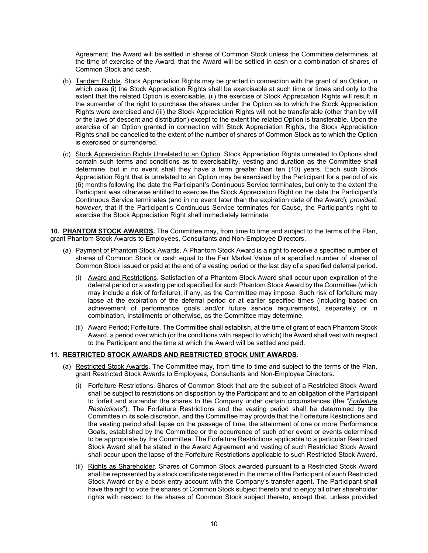Agreement, the Award will be settled in shares of Common Stock unless the Committee determines, at the time of exercise of the Award, that the Award will be settled in cash or a combination of shares of Common Stock and cash.

- (b) Tandem Rights. Stock Appreciation Rights may be granted in connection with the grant of an Option, in which case (i) the Stock Appreciation Rights shall be exercisable at such time or times and only to the extent that the related Option is exercisable, (ii) the exercise of Stock Appreciation Rights will result in the surrender of the right to purchase the shares under the Option as to which the Stock Appreciation Rights were exercised and (iii) the Stock Appreciation Rights will not be transferable (other than by will or the laws of descent and distribution) except to the extent the related Option is transferable. Upon the exercise of an Option granted in connection with Stock Appreciation Rights, the Stock Appreciation Rights shall be cancelled to the extent of the number of shares of Common Stock as to which the Option is exercised or surrendered.
- (c) Stock Appreciation Rights Unrelated to an Option. Stock Appreciation Rights unrelated to Options shall contain such terms and conditions as to exercisability, vesting and duration as the Committee shall determine, but in no event shall they have a term greater than ten (10) years. Each such Stock Appreciation Right that is unrelated to an Option may be exercised by the Participant for a period of six (6) months following the date the Participant's Continuous Service terminates, but only to the extent the Participant was otherwise entitled to exercise the Stock Appreciation Right on the date the Participant's Continuous Service terminates (and in no event later than the expiration date of the Award); *provided, however*, that if the Participant's Continuous Service terminates for Cause, the Participant's right to exercise the Stock Appreciation Right shall immediately terminate.

<span id="page-17-0"></span>**10. PHANTOM STOCK AWARDS.** The Committee may, from time to time and subject to the terms of the Plan, grant Phantom Stock Awards to Employees, Consultants and Non-Employee Directors.

- (a) Payment of Phantom Stock Awards. A Phantom Stock Award is a right to receive a specified number of shares of Common Stock or cash equal to the Fair Market Value of a specified number of shares of Common Stock issued or paid at the end of a vesting period or the last day of a specified deferral period.
	- (i) Award and Restrictions. Satisfaction of a Phantom Stock Award shall occur upon expiration of the deferral period or a vesting period specified for such Phantom Stock Award by the Committee (which may include a risk of forfeiture), if any, as the Committee may impose. Such risk of forfeiture may lapse at the expiration of the deferral period or at earlier specified times (including based on achievement of performance goals and/or future service requirements), separately or in combination, installments or otherwise, as the Committee may determine.
	- (ii) Award Period; Forfeiture. The Committee shall establish, at the time of grant of each Phantom Stock Award, a period over which (or the conditions with respect to which) the Award shall vest with respect to the Participant and the time at which the Award will be settled and paid.

#### <span id="page-17-1"></span>**11. RESTRICTED STOCK AWARDS AND RESTRICTED STOCK UNIT AWARDS.**

- (a) Restricted Stock Awards. The Committee may, from time to time and subject to the terms of the Plan, grant Restricted Stock Awards to Employees, Consultants and Non-Employee Directors.
	- (i) Forfeiture Restrictions. Shares of Common Stock that are the subject of a Restricted Stock Award shall be subject to restrictions on disposition by the Participant and to an obligation of the Participant to forfeit and surrender the shares to the Company under certain circumstances (the "*Forfeiture Restrictions*"). The Forfeiture Restrictions and the vesting period shall be determined by the Committee in its sole discretion, and the Committee may provide that the Forfeiture Restrictions and the vesting period shall lapse on the passage of time, the attainment of one or more Performance Goals, established by the Committee or the occurrence of such other event or events determined to be appropriate by the Committee. The Forfeiture Restrictions applicable to a particular Restricted Stock Award shall be stated in the Award Agreement and vesting of such Restricted Stock Award shall occur upon the lapse of the Forfeiture Restrictions applicable to such Restricted Stock Award.
	- (ii) Rights as Shareholder. Shares of Common Stock awarded pursuant to a Restricted Stock Award shall be represented by a stock certificate registered in the name of the Participant of such Restricted Stock Award or by a book entry account with the Company's transfer agent. The Participant shall have the right to vote the shares of Common Stock subject thereto and to enjoy all other shareholder rights with respect to the shares of Common Stock subject thereto, except that, unless provided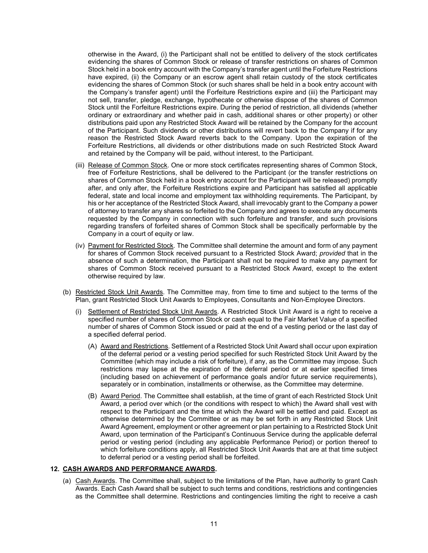otherwise in the Award, (i) the Participant shall not be entitled to delivery of the stock certificates evidencing the shares of Common Stock or release of transfer restrictions on shares of Common Stock held in a book entry account with the Company's transfer agent until the Forfeiture Restrictions have expired, (ii) the Company or an escrow agent shall retain custody of the stock certificates evidencing the shares of Common Stock (or such shares shall be held in a book entry account with the Company's transfer agent) until the Forfeiture Restrictions expire and (iii) the Participant may not sell, transfer, pledge, exchange, hypothecate or otherwise dispose of the shares of Common Stock until the Forfeiture Restrictions expire. During the period of restriction, all dividends (whether ordinary or extraordinary and whether paid in cash, additional shares or other property) or other distributions paid upon any Restricted Stock Award will be retained by the Company for the account of the Participant. Such dividends or other distributions will revert back to the Company if for any reason the Restricted Stock Award reverts back to the Company. Upon the expiration of the Forfeiture Restrictions, all dividends or other distributions made on such Restricted Stock Award and retained by the Company will be paid, without interest, to the Participant.

- (iii) Release of Common Stock. One or more stock certificates representing shares of Common Stock, free of Forfeiture Restrictions, shall be delivered to the Participant (or the transfer restrictions on shares of Common Stock held in a book entry account for the Participant will be released) promptly after, and only after, the Forfeiture Restrictions expire and Participant has satisfied all applicable federal, state and local income and employment tax withholding requirements. The Participant, by his or her acceptance of the Restricted Stock Award, shall irrevocably grant to the Company a power of attorney to transfer any shares so forfeited to the Company and agrees to execute any documents requested by the Company in connection with such forfeiture and transfer, and such provisions regarding transfers of forfeited shares of Common Stock shall be specifically performable by the Company in a court of equity or law.
- (iv) Payment for Restricted Stock. The Committee shall determine the amount and form of any payment for shares of Common Stock received pursuant to a Restricted Stock Award; *provided* that in the absence of such a determination, the Participant shall not be required to make any payment for shares of Common Stock received pursuant to a Restricted Stock Award, except to the extent otherwise required by law.
- (b) Restricted Stock Unit Awards. The Committee may, from time to time and subject to the terms of the Plan, grant Restricted Stock Unit Awards to Employees, Consultants and Non-Employee Directors.
	- (i) Settlement of Restricted Stock Unit Awards. A Restricted Stock Unit Award is a right to receive a specified number of shares of Common Stock or cash equal to the Fair Market Value of a specified number of shares of Common Stock issued or paid at the end of a vesting period or the last day of a specified deferral period.
		- (A) Award and Restrictions. Settlement of a Restricted Stock Unit Award shall occur upon expiration of the deferral period or a vesting period specified for such Restricted Stock Unit Award by the Committee (which may include a risk of forfeiture), if any, as the Committee may impose. Such restrictions may lapse at the expiration of the deferral period or at earlier specified times (including based on achievement of performance goals and/or future service requirements), separately or in combination, installments or otherwise, as the Committee may determine.
		- (B) Award Period. The Committee shall establish, at the time of grant of each Restricted Stock Unit Award, a period over which (or the conditions with respect to which) the Award shall vest with respect to the Participant and the time at which the Award will be settled and paid. Except as otherwise determined by the Committee or as may be set forth in any Restricted Stock Unit Award Agreement, employment or other agreement or plan pertaining to a Restricted Stock Unit Award, upon termination of the Participant's Continuous Service during the applicable deferral period or vesting period (including any applicable Performance Period) or portion thereof to which forfeiture conditions apply, all Restricted Stock Unit Awards that are at that time subject to deferral period or a vesting period shall be forfeited.

## <span id="page-18-0"></span>**12. CASH AWARDS AND PERFORMANCE AWARDS.**

(a) Cash Awards. The Committee shall, subject to the limitations of the Plan, have authority to grant Cash Awards. Each Cash Award shall be subject to such terms and conditions, restrictions and contingencies as the Committee shall determine. Restrictions and contingencies limiting the right to receive a cash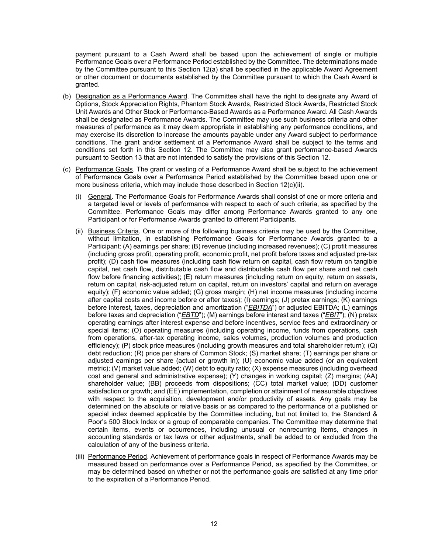payment pursuant to a Cash Award shall be based upon the achievement of single or multiple Performance Goals over a Performance Period established by the Committee. The determinations made by the Committee pursuant to this Section 12(a) shall be specified in the applicable Award Agreement or other document or documents established by the Committee pursuant to which the Cash Award is granted.

- (b) Designation as a Performance Award. The Committee shall have the right to designate any Award of Options, Stock Appreciation Rights, Phantom Stock Awards, Restricted Stock Awards, Restricted Stock Unit Awards and Other Stock or Performance-Based Awards as a Performance Award. All Cash Awards shall be designated as Performance Awards. The Committee may use such business criteria and other measures of performance as it may deem appropriate in establishing any performance conditions, and may exercise its discretion to increase the amounts payable under any Award subject to performance conditions. The grant and/or settlement of a Performance Award shall be subject to the terms and conditions set forth in this Section 12. The Committee may also grant performance-based Awards pursuant to Section 13 that are not intended to satisfy the provisions of this Section 12.
- (c) Performance Goals. The grant or vesting of a Performance Award shall be subject to the achievement of Performance Goals over a Performance Period established by the Committee based upon one or more business criteria, which may include those described in Section 12(c)(ii).
	- (i) General. The Performance Goals for Performance Awards shall consist of one or more criteria and a targeted level or levels of performance with respect to each of such criteria, as specified by the Committee. Performance Goals may differ among Performance Awards granted to any one Participant or for Performance Awards granted to different Participants.
	- (ii) Business Criteria. One or more of the following business criteria may be used by the Committee, without limitation, in establishing Performance Goals for Performance Awards granted to a Participant: (A) earnings per share; (B) revenue (including increased revenues); (C) profit measures (including gross profit, operating profit, economic profit, net profit before taxes and adjusted pre-tax profit); (D) cash flow measures (including cash flow return on capital, cash flow return on tangible capital, net cash flow, distributable cash flow and distributable cash flow per share and net cash flow before financing activities); (E) return measures (including return on equity, return on assets, return on capital, risk-adjusted return on capital, return on investors' capital and return on average equity); (F) economic value added; (G) gross margin; (H) net income measures (including income after capital costs and income before or after taxes); (I) earnings; (J) pretax earnings; (K) earnings before interest, taxes, depreciation and amortization ("*EBITDA*") or adjusted EBITDA; (L) earnings before taxes and depreciation ("*EBTD*"); (M) earnings before interest and taxes ("*EBIT*"); (N) pretax operating earnings after interest expense and before incentives, service fees and extraordinary or special items; (O) operating measures (including operating income, funds from operations, cash from operations, after-tax operating income, sales volumes, production volumes and production efficiency); (P) stock price measures (including growth measures and total shareholder return); (Q) debt reduction; (R) price per share of Common Stock; (S) market share; (T) earnings per share or adjusted earnings per share (actual or growth in); (U) economic value added (or an equivalent metric); (V) market value added; (W) debt to equity ratio; (X) expense measures (including overhead cost and general and administrative expense); (Y) changes in working capital; (Z) margins; (AA) shareholder value; (BB) proceeds from dispositions; (CC) total market value; (DD) customer satisfaction or growth; and (EE) implementation, completion or attainment of measurable objectives with respect to the acquisition, development and/or productivity of assets. Any goals may be determined on the absolute or relative basis or as compared to the performance of a published or special index deemed applicable by the Committee including, but not limited to, the Standard & Poor's 500 Stock Index or a group of comparable companies. The Committee may determine that certain items, events or occurrences, including unusual or nonrecurring items, changes in accounting standards or tax laws or other adjustments, shall be added to or excluded from the calculation of any of the business criteria.
	- (iii) Performance Period. Achievement of performance goals in respect of Performance Awards may be measured based on performance over a Performance Period, as specified by the Committee, or may be determined based on whether or not the performance goals are satisfied at any time prior to the expiration of a Performance Period.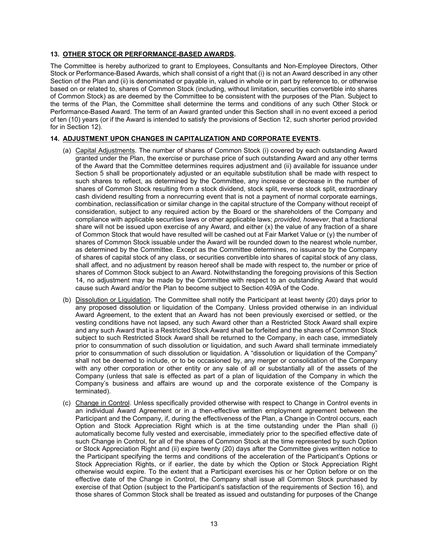#### <span id="page-20-0"></span>**13. OTHER STOCK OR PERFORMANCE-BASED AWARDS.**

The Committee is hereby authorized to grant to Employees, Consultants and Non-Employee Directors, Other Stock or Performance-Based Awards, which shall consist of a right that (i) is not an Award described in any other Section of the Plan and (ii) is denominated or payable in, valued in whole or in part by reference to, or otherwise based on or related to, shares of Common Stock (including, without limitation, securities convertible into shares of Common Stock) as are deemed by the Committee to be consistent with the purposes of the Plan. Subject to the terms of the Plan, the Committee shall determine the terms and conditions of any such Other Stock or Performance-Based Award. The term of an Award granted under this Section shall in no event exceed a period of ten (10) years (or if the Award is intended to satisfy the provisions of Section 12, such shorter period provided for in Section 12).

#### <span id="page-20-1"></span>**14. ADJUSTMENT UPON CHANGES IN CAPITALIZATION AND CORPORATE EVENTS.**

- (a) Capital Adjustments. The number of shares of Common Stock (i) covered by each outstanding Award granted under the Plan, the exercise or purchase price of such outstanding Award and any other terms of the Award that the Committee determines requires adjustment and (ii) available for issuance under Section 5 shall be proportionately adjusted or an equitable substitution shall be made with respect to such shares to reflect, as determined by the Committee, any increase or decrease in the number of shares of Common Stock resulting from a stock dividend, stock split, reverse stock split, extraordinary cash dividend resulting from a nonrecurring event that is not a payment of normal corporate earnings, combination, reclassification or similar change in the capital structure of the Company without receipt of consideration, subject to any required action by the Board or the shareholders of the Company and compliance with applicable securities laws or other applicable laws; *provided, however*, that a fractional share will not be issued upon exercise of any Award, and either (x) the value of any fraction of a share of Common Stock that would have resulted will be cashed out at Fair Market Value or (y) the number of shares of Common Stock issuable under the Award will be rounded down to the nearest whole number, as determined by the Committee. Except as the Committee determines, no issuance by the Company of shares of capital stock of any class, or securities convertible into shares of capital stock of any class, shall affect, and no adjustment by reason hereof shall be made with respect to, the number or price of shares of Common Stock subject to an Award. Notwithstanding the foregoing provisions of this Section 14, no adjustment may be made by the Committee with respect to an outstanding Award that would cause such Award and/or the Plan to become subject to Section 409A of the Code.
- (b) Dissolution or Liquidation. The Committee shall notify the Participant at least twenty (20) days prior to any proposed dissolution or liquidation of the Company. Unless provided otherwise in an individual Award Agreement, to the extent that an Award has not been previously exercised or settled, or the vesting conditions have not lapsed, any such Award other than a Restricted Stock Award shall expire and any such Award that is a Restricted Stock Award shall be forfeited and the shares of Common Stock subject to such Restricted Stock Award shall be returned to the Company, in each case, immediately prior to consummation of such dissolution or liquidation, and such Award shall terminate immediately prior to consummation of such dissolution or liquidation. A "dissolution or liquidation of the Company" shall not be deemed to include, or to be occasioned by, any merger or consolidation of the Company with any other corporation or other entity or any sale of all or substantially all of the assets of the Company (unless that sale is effected as part of a plan of liquidation of the Company in which the Company's business and affairs are wound up and the corporate existence of the Company is terminated).
- (c) Change in Control. Unless specifically provided otherwise with respect to Change in Control events in an individual Award Agreement or in a then-effective written employment agreement between the Participant and the Company, if, during the effectiveness of the Plan, a Change in Control occurs, each Option and Stock Appreciation Right which is at the time outstanding under the Plan shall (i) automatically become fully vested and exercisable, immediately prior to the specified effective date of such Change in Control, for all of the shares of Common Stock at the time represented by such Option or Stock Appreciation Right and (ii) expire twenty (20) days after the Committee gives written notice to the Participant specifying the terms and conditions of the acceleration of the Participant's Options or Stock Appreciation Rights, or if earlier, the date by which the Option or Stock Appreciation Right otherwise would expire. To the extent that a Participant exercises his or her Option before or on the effective date of the Change in Control, the Company shall issue all Common Stock purchased by exercise of that Option (subject to the Participant's satisfaction of the requirements of Section 16), and those shares of Common Stock shall be treated as issued and outstanding for purposes of the Change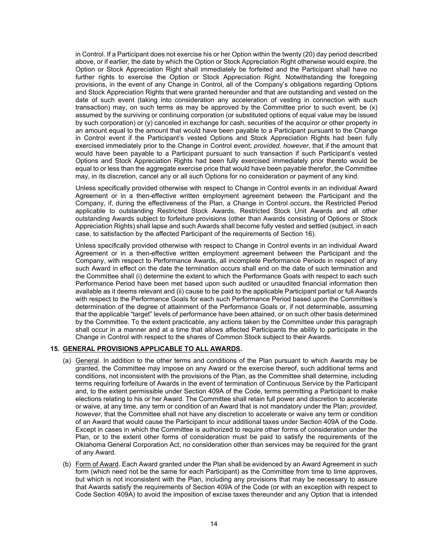in Control. If a Participant does not exercise his or her Option within the twenty (20) day period described above, or if earlier, the date by which the Option or Stock Appreciation Right otherwise would expire, the Option or Stock Appreciation Right shall immediately be forfeited and the Participant shall have no further rights to exercise the Option or Stock Appreciation Right. Notwithstanding the foregoing provisions, in the event of any Change in Control, all of the Company's obligations regarding Options and Stock Appreciation Rights that were granted hereunder and that are outstanding and vested on the date of such event (taking into consideration any acceleration of vesting in connection with such transaction) may, on such terms as may be approved by the Committee prior to such event, be (x) assumed by the surviving or continuing corporation (or substituted options of equal value may be issued by such corporation) or (y) canceled in exchange for cash, securities of the acquiror or other property in an amount equal to the amount that would have been payable to a Participant pursuant to the Change in Control event if the Participant's vested Options and Stock Appreciation Rights had been fully exercised immediately prior to the Change in Control event; *provided, however*, that if the amount that would have been payable to a Participant pursuant to such transaction if such Participant's vested Options and Stock Appreciation Rights had been fully exercised immediately prior thereto would be equal to or less than the aggregate exercise price that would have been payable therefor, the Committee may, in its discretion, cancel any or all such Options for no consideration or payment of any kind.

Unless specifically provided otherwise with respect to Change in Control events in an individual Award Agreement or in a then-effective written employment agreement between the Participant and the Company, if, during the effectiveness of the Plan, a Change in Control occurs, the Restricted Period applicable to outstanding Restricted Stock Awards, Restricted Stock Unit Awards and all other outstanding Awards subject to forfeiture provisions (other than Awards consisting of Options or Stock Appreciation Rights) shall lapse and such Awards shall become fully vested and settled (subject, in each case, to satisfaction by the affected Participant of the requirements of Section 16).

Unless specifically provided otherwise with respect to Change in Control events in an individual Award Agreement or in a then-effective written employment agreement between the Participant and the Company, with respect to Performance Awards, all incomplete Performance Periods in respect of any such Award in effect on the date the termination occurs shall end on the date of such termination and the Committee shall (i) determine the extent to which the Performance Goals with respect to each such Performance Period have been met based upon such audited or unaudited financial information then available as it deems relevant and (ii) cause to be paid to the applicable Participant partial or full Awards with respect to the Performance Goals for each such Performance Period based upon the Committee's determination of the degree of attainment of the Performance Goals or, if not determinable, assuming that the applicable "target" levels of performance have been attained, or on such other basis determined by the Committee. To the extent practicable, any actions taken by the Committee under this paragraph shall occur in a manner and at a time that allows affected Participants the ability to participate in the Change in Control with respect to the shares of Common Stock subject to their Awards.

## <span id="page-21-0"></span>**15. GENERAL PROVISIONS APPLICABLE TO ALL AWARDS.**

- (a) General. In addition to the other terms and conditions of the Plan pursuant to which Awards may be granted, the Committee may impose on any Award or the exercise thereof, such additional terms and conditions, not inconsistent with the provisions of the Plan, as the Committee shall determine, including terms requiring forfeiture of Awards in the event of termination of Continuous Service by the Participant and, to the extent permissible under Section 409A of the Code, terms permitting a Participant to make elections relating to his or her Award. The Committee shall retain full power and discretion to accelerate or waive, at any time, any term or condition of an Award that is not mandatory under the Plan; *provided, however*, that the Committee shall not have any discretion to accelerate or waive any term or condition of an Award that would cause the Participant to incur additional taxes under Section 409A of the Code. Except in cases in which the Committee is authorized to require other forms of consideration under the Plan, or to the extent other forms of consideration must be paid to satisfy the requirements of the Oklahoma General Corporation Act, no consideration other than services may be required for the grant of any Award.
- (b) Form of Award. Each Award granted under the Plan shall be evidenced by an Award Agreement in such form (which need not be the same for each Participant) as the Committee from time to time approves, but which is not inconsistent with the Plan, including any provisions that may be necessary to assure that Awards satisfy the requirements of Section 409A of the Code (or with an exception with respect to Code Section 409A) to avoid the imposition of excise taxes thereunder and any Option that is intended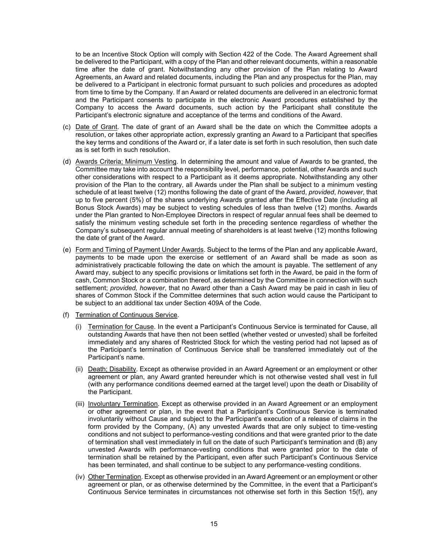to be an Incentive Stock Option will comply with Section 422 of the Code. The Award Agreement shall be delivered to the Participant, with a copy of the Plan and other relevant documents, within a reasonable time after the date of grant. Notwithstanding any other provision of the Plan relating to Award Agreements, an Award and related documents, including the Plan and any prospectus for the Plan, may be delivered to a Participant in electronic format pursuant to such policies and procedures as adopted from time to time by the Company. If an Award or related documents are delivered in an electronic format and the Participant consents to participate in the electronic Award procedures established by the Company to access the Award documents, such action by the Participant shall constitute the Participant's electronic signature and acceptance of the terms and conditions of the Award.

- (c) Date of Grant. The date of grant of an Award shall be the date on which the Committee adopts a resolution, or takes other appropriate action, expressly granting an Award to a Participant that specifies the key terms and conditions of the Award or, if a later date is set forth in such resolution, then such date as is set forth in such resolution.
- (d) Awards Criteria; Minimum Vesting. In determining the amount and value of Awards to be granted, the Committee may take into account the responsibility level, performance, potential, other Awards and such other considerations with respect to a Participant as it deems appropriate. Notwithstanding any other provision of the Plan to the contrary, all Awards under the Plan shall be subject to a minimum vesting schedule of at least twelve (12) months following the date of grant of the Award, *provided*, *however*, that up to five percent (5%) of the shares underlying Awards granted after the Effective Date (including all Bonus Stock Awards) may be subject to vesting schedules of less than twelve (12) months. Awards under the Plan granted to Non-Employee Directors in respect of regular annual fees shall be deemed to satisfy the minimum vesting schedule set forth in the preceding sentence regardless of whether the Company's subsequent regular annual meeting of shareholders is at least twelve (12) months following the date of grant of the Award.
- (e) Form and Timing of Payment Under Awards. Subject to the terms of the Plan and any applicable Award, payments to be made upon the exercise or settlement of an Award shall be made as soon as administratively practicable following the date on which the amount is payable. The settlement of any Award may, subject to any specific provisions or limitations set forth in the Award, be paid in the form of cash, Common Stock or a combination thereof, as determined by the Committee in connection with such settlement; *provided, however*, that no Award other than a Cash Award may be paid in cash in lieu of shares of Common Stock if the Committee determines that such action would cause the Participant to be subject to an additional tax under Section 409A of the Code.
- (f) Termination of Continuous Service.
	- (i) Termination for Cause. In the event a Participant's Continuous Service is terminated for Cause, all outstanding Awards that have then not been settled (whether vested or unvested) shall be forfeited immediately and any shares of Restricted Stock for which the vesting period had not lapsed as of the Participant's termination of Continuous Service shall be transferred immediately out of the Participant's name.
	- (ii) Death; Disability. Except as otherwise provided in an Award Agreement or an employment or other agreement or plan, any Award granted hereunder which is not otherwise vested shall vest in full (with any performance conditions deemed earned at the target level) upon the death or Disability of the Participant.
	- (iii) Involuntary Termination. Except as otherwise provided in an Award Agreement or an employment or other agreement or plan, in the event that a Participant's Continuous Service is terminated involuntarily without Cause and subject to the Participant's execution of a release of claims in the form provided by the Company, (A) any unvested Awards that are only subject to time-vesting conditions and not subject to performance-vesting conditions and that were granted prior to the date of termination shall vest immediately in full on the date of such Participant's termination and (B) any unvested Awards with performance-vesting conditions that were granted prior to the date of termination shall be retained by the Participant, even after such Participant's Continuous Service has been terminated, and shall continue to be subject to any performance-vesting conditions.
	- (iv) Other Termination. Except as otherwise provided in an Award Agreement or an employment or other agreement or plan, or as otherwise determined by the Committee, in the event that a Participant's Continuous Service terminates in circumstances not otherwise set forth in this Section 15(f), any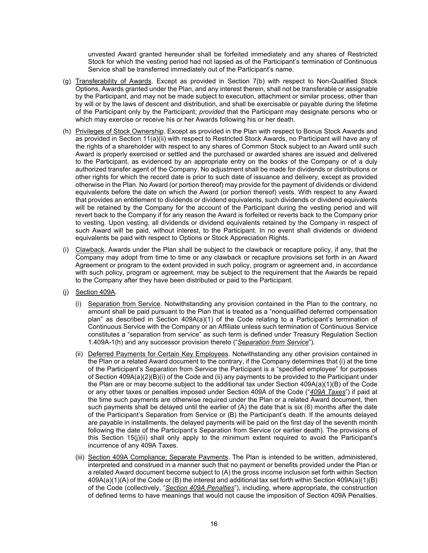unvested Award granted hereunder shall be forfeited immediately and any shares of Restricted Stock for which the vesting period had not lapsed as of the Participant's termination of Continuous Service shall be transferred immediately out of the Participant's name.

- (g) Transferability of Awards. Except as provided in Section 7(b) with respect to Non-Qualified Stock Options, Awards granted under the Plan, and any interest therein, shall not be transferable or assignable by the Participant, and may not be made subject to execution, attachment or similar process, other than by will or by the laws of descent and distribution, and shall be exercisable or payable during the lifetime of the Participant only by the Participant; *provided* that the Participant may designate persons who or which may exercise or receive his or her Awards following his or her death.
- (h) Privileges of Stock Ownership. Except as provided in the Plan with respect to Bonus Stock Awards and as provided in Section 11(a)(ii) with respect to Restricted Stock Awards, no Participant will have any of the rights of a shareholder with respect to any shares of Common Stock subject to an Award until such Award is properly exercised or settled and the purchased or awarded shares are issued and delivered to the Participant, as evidenced by an appropriate entry on the books of the Company or of a duly authorized transfer agent of the Company. No adjustment shall be made for dividends or distributions or other rights for which the record date is prior to such date of issuance and delivery, except as provided otherwise in the Plan. No Award (or portion thereof) may provide for the payment of dividends or dividend equivalents before the date on which the Award (or portion thereof) vests. With respect to any Award that provides an entitlement to dividends or dividend equivalents, such dividends or dividend equivalents will be retained by the Company for the account of the Participant during the vesting period and will revert back to the Company if for any reason the Award is forfeited or reverts back to the Company prior to vesting. Upon vesting, all dividends or dividend equivalents retained by the Company in respect of such Award will be paid, without interest, to the Participant. In no event shall dividends or dividend equivalents be paid with respect to Options or Stock Appreciation Rights.
- (i) Clawback. Awards under the Plan shall be subject to the clawback or recapture policy, if any, that the Company may adopt from time to time or any clawback or recapture provisions set forth in an Award Agreement or program to the extent provided in such policy, program or agreement and, in accordance with such policy, program or agreement, may be subject to the requirement that the Awards be repaid to the Company after they have been distributed or paid to the Participant.
- (j) Section 409A.
	- (i) Separation from Service. Notwithstanding any provision contained in the Plan to the contrary, no amount shall be paid pursuant to the Plan that is treated as a "nonqualified deferred compensation plan" as described in Section 409A(a)(1) of the Code relating to a Participant's termination of Continuous Service with the Company or an Affiliate unless such termination of Continuous Service constitutes a "separation from service" as such term is defined under Treasury Regulation Section 1.409A-1(h) and any successor provision thereto ("*Separation from Service*").
	- (ii) Deferred Payments for Certain Key Employees. Notwithstanding any other provision contained in the Plan or a related Award document to the contrary, if the Company determines that (i) at the time of the Participant's Separation from Service the Participant is a "specified employee" for purposes of Section 409A(a)(2)(B)(i) of the Code and (ii) any payments to be provided to the Participant under the Plan are or may become subject to the additional tax under Section 409A(a)(1)(B) of the Code or any other taxes or penalties imposed under Section 409A of the Code ("*409A Taxes*") if paid at the time such payments are otherwise required under the Plan or a related Award document, then such payments shall be delayed until the earlier of (A) the date that is six (6) months after the date of the Participant's Separation from Service or (B) the Participant's death. If the amounts delayed are payable in installments, the delayed payments will be paid on the first day of the seventh month following the date of the Participant's Separation from Service (or earlier death). The provisions of this Section 15(j)(ii) shall only apply to the minimum extent required to avoid the Participant's incurrence of any 409A Taxes.
	- (iii) Section 409A Compliance; Separate Payments. The Plan is intended to be written, administered, interpreted and construed in a manner such that no payment or benefits provided under the Plan or a related Award document become subject to (A) the gross income inclusion set forth within Section 409A(a)(1)(A) of the Code or (B) the interest and additional tax set forth within Section 409A(a)(1)(B) of the Code (collectively, "*Section 409A Penalties*"), including, where appropriate, the construction of defined terms to have meanings that would not cause the imposition of Section 409A Penalties.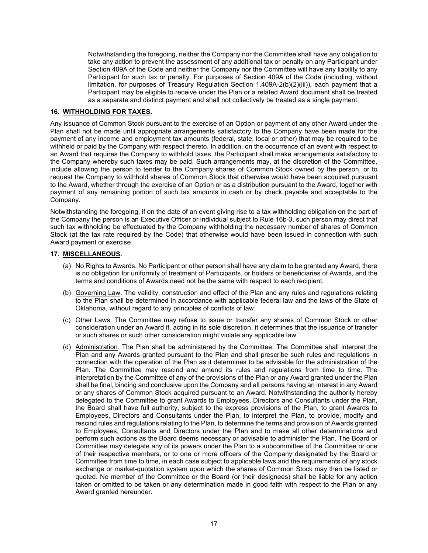Notwithstanding the foregoing, neither the Company nor the Committee shall have any obligation to take any action to prevent the assessment of any additional tax or penalty on any Participant under Section 409A of the Code and neither the Company nor the Committee will have any liability to any Participant for such tax or penalty. For purposes of Section 409A of the Code (including, without limitation, for purposes of Treasury Regulation Section 1.409A-2(b)(2)(iii)), each payment that a Participant may be eligible to receive under the Plan or a related Award document shall be treated as a separate and distinct payment and shall not collectively be treated as a single payment.

#### <span id="page-24-0"></span>**16. WITHHOLDING FOR TAXES.**

Any issuance of Common Stock pursuant to the exercise of an Option or payment of any other Award under the Plan shall not be made until appropriate arrangements satisfactory to the Company have been made for the payment of any income and employment tax amounts (federal, state, local or other) that may be required to be withheld or paid by the Company with respect thereto. In addition, on the occurrence of an event with respect to an Award that requires the Company to withhold taxes, the Participant shall make arrangements satisfactory to the Company whereby such taxes may be paid. Such arrangements may, at the discretion of the Committee, include allowing the person to tender to the Company shares of Common Stock owned by the person, or to request the Company to withhold shares of Common Stock that otherwise would have been acquired pursuant to the Award, whether through the exercise of an Option or as a distribution pursuant to the Award, together with payment of any remaining portion of such tax amounts in cash or by check payable and acceptable to the Company.

Notwithstanding the foregoing, if on the date of an event giving rise to a tax withholding obligation on the part of the Company the person is an Executive Officer or individual subject to Rule 16b-3, such person may direct that such tax withholding be effectuated by the Company withholding the necessary number of shares of Common Stock (at the tax rate required by the Code) that otherwise would have been issued in connection with such Award payment or exercise.

#### <span id="page-24-1"></span>**17. MISCELLANEOUS.**

- (a) No Rights to Awards. No Participant or other person shall have any claim to be granted any Award, there is no obligation for uniformity of treatment of Participants, or holders or beneficiaries of Awards, and the terms and conditions of Awards need not be the same with respect to each recipient.
- (b) Governing Law. The validity, construction and effect of the Plan and any rules and regulations relating to the Plan shall be determined in accordance with applicable federal law and the laws of the State of Oklahoma, without regard to any principles of conflicts of law.
- (c) Other Laws. The Committee may refuse to issue or transfer any shares of Common Stock or other consideration under an Award if, acting in its sole discretion, it determines that the issuance of transfer or such shares or such other consideration might violate any applicable law.
- (d) Administration. The Plan shall be administered by the Committee. The Committee shall interpret the Plan and any Awards granted pursuant to the Plan and shall prescribe such rules and regulations in connection with the operation of the Plan as it determines to be advisable for the administration of the Plan. The Committee may rescind and amend its rules and regulations from time to time. The interpretation by the Committee of any of the provisions of the Plan or any Award granted under the Plan shall be final, binding and conclusive upon the Company and all persons having an interest in any Award or any shares of Common Stock acquired pursuant to an Award. Notwithstanding the authority hereby delegated to the Committee to grant Awards to Employees, Directors and Consultants under the Plan, the Board shall have full authority, subject to the express provisions of the Plan, to grant Awards to Employees, Directors and Consultants under the Plan, to interpret the Plan, to provide, modify and rescind rules and regulations relating to the Plan, to determine the terms and provision of Awards granted to Employees, Consultants and Directors under the Plan and to make all other determinations and perform such actions as the Board deems necessary or advisable to administer the Plan. The Board or Committee may delegate any of its powers under the Plan to a subcommittee of the Committee or one of their respective members, or to one or more officers of the Company designated by the Board or Committee from time to time, in each case subject to applicable laws and the requirements of any stock exchange or market-quotation system upon which the shares of Common Stock may then be listed or quoted. No member of the Committee or the Board (or their designees) shall be liable for any action taken or omitted to be taken or any determination made in good faith with respect to the Plan or any Award granted hereunder.